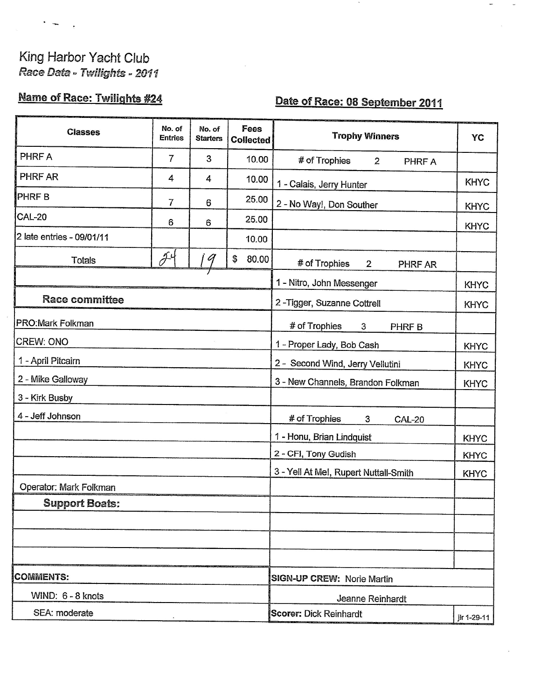# King Harbor Yacht Club Race Data - Twilights - 2011

## **Name of Race: Twilights #24**

## Date of Race: 08 September 2011

| <b>Classes</b>            | No. of<br><b>Entries</b> | No. of<br><b>Starters</b> | Fees<br><b>Collected</b> | <b>Trophy Winners</b>                          | YC          |
|---------------------------|--------------------------|---------------------------|--------------------------|------------------------------------------------|-------------|
| PHRF A                    | 7                        | 3                         | 10.00                    | # of Trophies<br>$\overline{2}$<br>PHRF A      |             |
| PHRF AR                   | 4                        | 4                         | 10.00                    | 1 - Calais, Jerry Hunter                       | <b>KHYC</b> |
| <b>PHRFB</b>              | $\overline{7}$           | 6                         | 25.00                    | 2 - No Way!, Don Souther                       | <b>KHYC</b> |
| <b>CAL-20</b>             | 6                        | 6                         | 25.00                    |                                                | <b>KHYC</b> |
| 2 late entries - 09/01/11 |                          |                           | 10.00                    |                                                |             |
| Totals                    | $\tilde{\partial}^4$     | 9                         | \$<br>80.00              | # of Trophies<br>$\overline{2}$<br>PHRF AR     |             |
|                           |                          |                           |                          | 1 - Nitro, John Messenger                      | <b>KHYC</b> |
| <b>Race committee</b>     |                          |                           |                          | 2-Tigger, Suzanne Cottrell                     | <b>KHYC</b> |
| <b>PRO:Mark Folkman</b>   |                          |                           |                          | # of Trophies<br>$\mathbf{3}$<br>PHRF B        |             |
| <b>CREW: ONO</b>          |                          |                           |                          | 1 - Proper Lady, Bob Cash                      | <b>KHYC</b> |
| 1 - April Pitcairn        |                          |                           |                          | 2 - Second Wind, Jerry Vellutini               | <b>KHYC</b> |
| 2 - Mike Galloway         |                          |                           |                          | 3 - New Channels, Brandon Folkman              | <b>KHYC</b> |
| 3 - Kirk Busby            |                          |                           |                          |                                                |             |
| 4 - Jeff Johnson          |                          |                           |                          | # of Trophies<br>$\mathbf{3}$<br><b>CAL-20</b> |             |
|                           |                          |                           |                          | 1 - Honu, Brian Lindquist                      | <b>KHYC</b> |
|                           |                          |                           |                          | 2 - CFI, Tony Gudish                           | <b>KHYC</b> |
|                           |                          |                           |                          | 3 - Yell At Me!, Rupert Nuttall-Smith          | <b>KHYC</b> |
| Operator: Mark Folkman    |                          |                           |                          |                                                |             |
| <b>Support Boats:</b>     |                          |                           |                          |                                                |             |
|                           |                          |                           |                          |                                                |             |
|                           |                          |                           |                          |                                                |             |
|                           |                          |                           |                          |                                                |             |
| <b>COMMENTS:</b>          |                          |                           |                          | <b>SIGN-UP CREW: Norie Martin</b>              |             |
| WIND: 6 - 8 knots         |                          |                           |                          | Jeanne Reinhardt                               |             |
| SEA: moderate             |                          |                           |                          | Scorer: Dick Reinhardt                         | ilr 1-29-11 |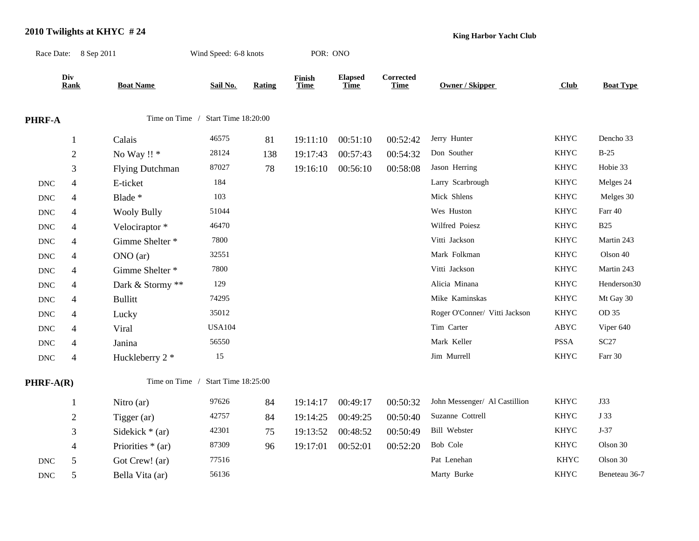#### **2010 Twilights at KHYC # 24**

**King Harbor Yacht Club**

Race Date: 8 Sep 2011 Wind Speed: 6-8 knots POR: ONO **Div Finish Corrected Rank Boat Name Sail No. Rating Time Time Time Owner / Skipper Club Boat Type** Elapsed Corrected<br>
<u>Time</u> Time Owner / Skipper **PHRF-A** Time on Time / Start Time 18:20:00 1 Calais 46575 81 19:11:10 00:51:10 00:52:42 Jerry Hunter KHYC Dencho 33 2 No Way !! \* 28124 138 19:17:43 00:57:43 00:54:32 Don Souther KHYC B-25 3 Flying Dutchman 87027 78 19:16:10 00:56:10 00:58:08 Jason Herring KHYC Hobie 33 DNC 4 E-ticket 184 184 Larry Scarbrough KHYC Melges 24 DNC 4 Blade \* 103 103 Mick Shlens KHYC Melges 30 DNC 4 Wooly Bully 51044 51044 Wes Huston Wes Huston KHYC Farr 40 DNC 4 Velociraptor \* 46470 46470 Wilfred Poiesz KHYC B25 DNC 4 Gimme Shelter \* 7800 7800 Vitti Jackson Vitti Jackson KHYC Martin 243 DNC 4 ONO (ar) 32551 32551 Mark Folkman KHYC Olson 40 DNC 4 Gimme Shelter \* 7800 7800 Vitti Jackson Vitti Jackson KHYC Martin 243 DNC 4 Dark & Stormy \*\* 129 129 Alicia Minana KHYC Henderson30 DNC 4 Bullitt 74295 74295 Mike Kaminskas KHYC Mt Gay 30 DNC 4 Lucky 35012 35012 Roger O'Conner/ Vitti Jackson KHYC OD 35 DNC 4 Viral USA104 USA104 Tim Carter ABYC Viper 640 DNC 4 Janina 56550 56550 Mark Keller PSSA SC27 DNC 4 Huckleberry 2 \* 15 15 Jim Murrell KHYC Farr 30 **PHRF-A(R)** Time on Time / Start Time 18:25:00 1 Nitro (ar) 97626 84 19:14:17 00:49:17 00:50:32 John Messenger/ Al Castillion KHYC J33 2 Tigger (ar) 42757 84 19:14:25 00:49:25 00:50:40 Suzanne Cottrell KHYC J 33 3 Sidekick \* (ar) 42301 75 19:13:52 00:48:52 00:50:49 Bill Webster KHYC J-37 4 Priorities \* (ar) 87309 96 19:17:01 00:52:01 00:52:20 Bob Cole KHYC Olson 30 DNC 5 Got Crew! (ar) 77516 77516 Pat Lenehan KHYC Olson 30 DNC 5 Bella Vita (ar) 56136 56136 Marty Burke KHYC Beneteau 36-7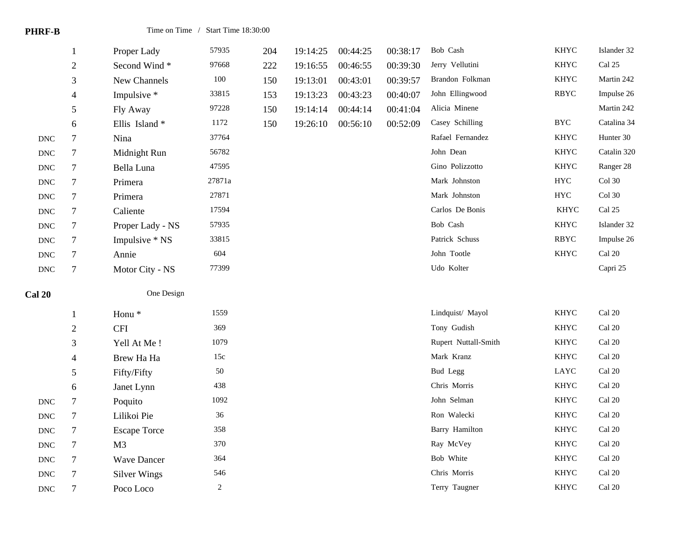| <b>PHRF-B</b>        |                          | Time on Time / Start Time 18:30:00 |         |     |          |          |          |                      |             |                         |
|----------------------|--------------------------|------------------------------------|---------|-----|----------|----------|----------|----------------------|-------------|-------------------------|
|                      | $\mathbf{1}$             | Proper Lady                        | 57935   | 204 | 19:14:25 | 00:44:25 | 00:38:17 | Bob Cash             | <b>KHYC</b> | Islander 32             |
|                      | $\sqrt{2}$               | Second Wind*                       | 97668   | 222 | 19:16:55 | 00:46:55 | 00:39:30 | Jerry Vellutini      | <b>KHYC</b> | Cal 25                  |
|                      | $\mathfrak{Z}$           | New Channels                       | $100\,$ | 150 | 19:13:01 | 00:43:01 | 00:39:57 | Brandon Folkman      | <b>KHYC</b> | Martin 242              |
|                      | $\overline{4}$           | Impulsive *                        | 33815   | 153 | 19:13:23 | 00:43:23 | 00:40:07 | John Ellingwood      | RBYC        | Impulse 26              |
|                      | 5                        | Fly Away                           | 97228   | 150 | 19:14:14 | 00:44:14 | 00:41:04 | Alicia Minene        |             | Martin 242              |
|                      | $\sqrt{6}$               | Ellis Island*                      | 1172    | 150 | 19:26:10 | 00:56:10 | 00:52:09 | Casey Schilling      | <b>BYC</b>  | Catalina 34             |
| $\operatorname{DNC}$ | $\tau$                   | Nina                               | 37764   |     |          |          |          | Rafael Fernandez     | <b>KHYC</b> | Hunter 30               |
| $\operatorname{DNC}$ | 7                        | Midnight Run                       | 56782   |     |          |          |          | John Dean            | <b>KHYC</b> | Catalin 320             |
| <b>DNC</b>           | $\boldsymbol{7}$         | Bella Luna                         | 47595   |     |          |          |          | Gino Polizzotto      | <b>KHYC</b> | Ranger 28               |
| $\operatorname{DNC}$ | $\tau$                   | Primera                            | 27871a  |     |          |          |          | Mark Johnston        | ${\rm HYC}$ | Col 30                  |
| $\operatorname{DNC}$ | $\tau$                   | Primera                            | 27871   |     |          |          |          | Mark Johnston        | <b>HYC</b>  | Col 30                  |
| $\operatorname{DNC}$ | $\boldsymbol{7}$         | Caliente                           | 17594   |     |          |          |          | Carlos De Bonis      | <b>KHYC</b> | Cal 25                  |
| $\operatorname{DNC}$ | 7                        | Proper Lady - NS                   | 57935   |     |          |          |          | Bob Cash             | <b>KHYC</b> | Islander 32             |
| $\operatorname{DNC}$ | $\tau$                   | Impulsive * NS                     | 33815   |     |          |          |          | Patrick Schuss       | <b>RBYC</b> | Impulse 26              |
| <b>DNC</b>           | $\boldsymbol{7}$         | Annie                              | 604     |     |          |          |          | John Tootle          | <b>KHYC</b> | Cal 20                  |
| $\operatorname{DNC}$ | $\tau$                   | Motor City - NS                    | 77399   |     |          |          |          | Udo Kolter           |             | Capri 25                |
| <b>Cal 20</b>        |                          | One Design                         |         |     |          |          |          |                      |             |                         |
|                      | $\mathbf{1}$             | Honu <sup>*</sup>                  | 1559    |     |          |          |          | Lindquist/ Mayol     | <b>KHYC</b> | Cal 20                  |
|                      | $\sqrt{2}$               | <b>CFI</b>                         | 369     |     |          |          |          | Tony Gudish          | <b>KHYC</b> | Cal 20                  |
|                      | 3                        | Yell At Me!                        | 1079    |     |          |          |          | Rupert Nuttall-Smith | <b>KHYC</b> | Cal 20                  |
|                      | $\overline{\mathcal{L}}$ | Brew Ha Ha                         | 15c     |     |          |          |          | Mark Kranz           | <b>KHYC</b> | Cal 20                  |
|                      | 5                        | Fifty/Fifty                        | 50      |     |          |          |          | <b>Bud Legg</b>      | LAYC        | Cal 20                  |
|                      | 6                        | Janet Lynn                         | 438     |     |          |          |          | Chris Morris         | <b>KHYC</b> | Cal 20                  |
| <b>DNC</b>           | $\boldsymbol{7}$         | Poquito                            | 1092    |     |          |          |          | John Selman          | KHYC        | $\operatorname{Cal}$ 20 |
| $\operatorname{DNC}$ | $\tau$                   | Lilikoi Pie                        | 36      |     |          |          |          | Ron Walecki          | <b>KHYC</b> | Cal 20                  |
| $\operatorname{DNC}$ | $\tau$                   | <b>Escape Torce</b>                | 358     |     |          |          |          | Barry Hamilton       | <b>KHYC</b> | Cal 20                  |
| $\operatorname{DNC}$ | $\tau$                   | M <sub>3</sub>                     | 370     |     |          |          |          | Ray McVey            | <b>KHYC</b> | Cal 20                  |
| $\operatorname{DNC}$ | 7                        | <b>Wave Dancer</b>                 | 364     |     |          |          |          | Bob White            | <b>KHYC</b> | Cal 20                  |
| <b>DNC</b>           | $\boldsymbol{7}$         | <b>Silver Wings</b>                | 546     |     |          |          |          | Chris Morris         | <b>KHYC</b> | Cal 20                  |

DNC 7 Poco Loco 2 2 Terry Taugner KHYC Cal 20